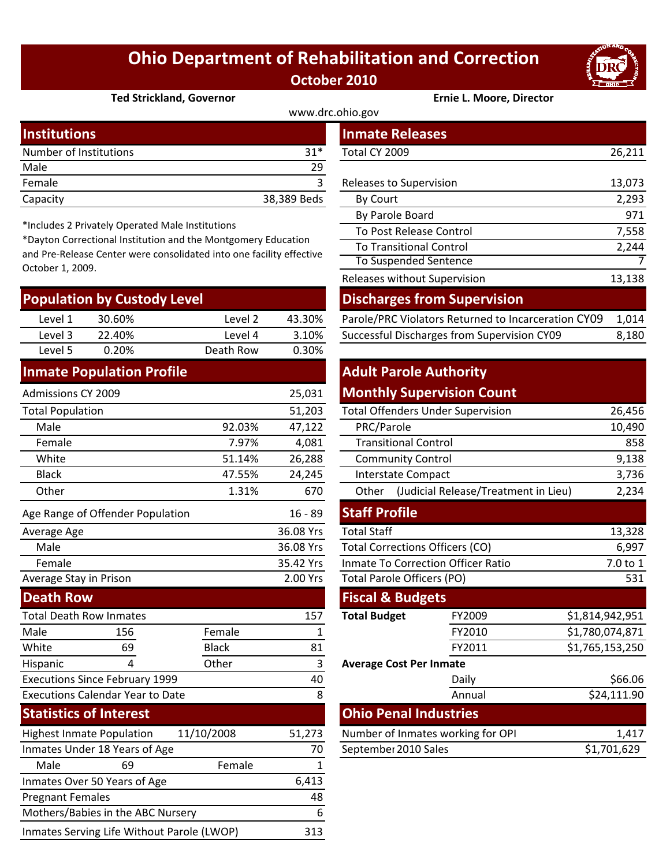## **Ohio Department of Rehabilitation and Correction October 2010**



#### **Ted Strickland, Governor Ernie L. Moore, Director**

| www.drc.ohio.gov       |             |                         |        |  |  |
|------------------------|-------------|-------------------------|--------|--|--|
| <b>Institutions</b>    |             | <b>Inmate Releases</b>  |        |  |  |
| Number of Institutions | $31*$       | Total CY 2009           | 26,211 |  |  |
| Male                   | 29          |                         |        |  |  |
| Female                 |             | Releases to Supervision | 13,073 |  |  |
| Capacity               | 38,389 Beds | By Court                | 2,293  |  |  |
|                        |             |                         |        |  |  |

\*Includes 2 Privately Operated Male Institutions

\*Dayton Correctional Institution and the Montgomery Education and Pre‐Release Center were consolidated into one facility effective October 1, 2009.

| <b>Population by Custody Level</b> |        |           |        | <b>Discharges from Supervision</b>                  |       |  |
|------------------------------------|--------|-----------|--------|-----------------------------------------------------|-------|--|
| Level 1                            | 30.60% | Level 2   | 43.30% | Parole/PRC Violators Returned to Incarceration CY09 | 1.014 |  |
| Level 3                            | 22.40% | Level 4   | 3.10%  | Successful Discharges from Supervision CY09         | 8,180 |  |
| Level 5                            | 0.20%  | Death Row | 0.30%  |                                                     |       |  |
|                                    | .      |           |        | .                                                   |       |  |

#### **Inmate Population Profile**

| <b>Admissions CY 2009</b>               |                                  |              | 25,031                                 |                                               | <b>Monthly Supervision Count</b>  |                 |
|-----------------------------------------|----------------------------------|--------------|----------------------------------------|-----------------------------------------------|-----------------------------------|-----------------|
| <b>Total Population</b>                 |                                  |              | 51,203                                 | <b>Total Offenders Under Supervision</b>      |                                   | 26,456          |
| Male                                    |                                  | 92.03%       | 47,122                                 | PRC/Parole                                    |                                   | 10,490          |
| Female                                  |                                  | 7.97%        | 4,081                                  | <b>Transitional Control</b>                   |                                   | 858             |
| White                                   |                                  | 51.14%       | 26,288                                 | <b>Community Control</b>                      |                                   | 9,138           |
| <b>Black</b>                            |                                  | 47.55%       | 24,245                                 | Interstate Compact                            |                                   | 3,736           |
| Other                                   |                                  | 1.31%        | 670                                    | (Judicial Release/Treatment in Lieu)<br>Other |                                   | 2,234           |
|                                         | Age Range of Offender Population |              | $16 - 89$                              | <b>Staff Profile</b>                          |                                   |                 |
| Average Age                             |                                  |              | 36.08 Yrs                              | <b>Total Staff</b>                            |                                   |                 |
| Male                                    |                                  | 36.08 Yrs    | <b>Total Corrections Officers (CO)</b> |                                               | 6,997                             |                 |
| Female                                  |                                  |              | 35.42 Yrs                              | <b>Inmate To Correction Officer Ratio</b>     |                                   | 7.0 to 1        |
| Average Stay in Prison                  |                                  |              | 2.00 Yrs                               | <b>Total Parole Officers (PO)</b>             |                                   | 531             |
| <b>Death Row</b>                        |                                  |              |                                        | <b>Fiscal &amp; Budgets</b>                   |                                   |                 |
| <b>Total Death Row Inmates</b>          |                                  |              | 157                                    | <b>Total Budget</b>                           | FY2009                            | \$1,814,942,951 |
| Male                                    | 156                              | Female       | 1                                      |                                               | FY2010                            | \$1,780,074,871 |
| White                                   | 69                               | <b>Black</b> | 81                                     |                                               | FY2011                            | \$1,765,153,250 |
| Hispanic                                | 4                                | Other        | 3                                      | <b>Average Cost Per Inmate</b>                |                                   |                 |
| <b>Executions Since February 1999</b>   |                                  |              | 40                                     |                                               | Daily                             | \$66.06         |
| <b>Executions Calendar Year to Date</b> |                                  |              | 8                                      |                                               | Annual                            | \$24,111.90     |
| <b>Statistics of Interest</b>           |                                  |              |                                        | <b>Ohio Penal Industries</b>                  |                                   |                 |
| <b>Highest Inmate Population</b>        |                                  | 11/10/2008   | 51,273                                 |                                               | Number of Inmates working for OPI | 1,417           |
| Inmates Under 18 Years of Age           |                                  | 70           | September 2010 Sales                   |                                               | \$1,701,629                       |                 |
| Male                                    | 69                               | Female       | 1                                      |                                               |                                   |                 |
| Inmates Over 50 Years of Age            |                                  | 6,413        |                                        |                                               |                                   |                 |
| <b>Pregnant Females</b>                 |                                  |              | 48                                     |                                               |                                   |                 |
| Mothers/Babies in the ABC Nursery       |                                  |              | 6                                      |                                               |                                   |                 |

Inmates Serving Life Without Parole (LWOP) 313

| ,,,,u,,v,,,                                                                                                                                                                                      |                           |           |             | TIIIIIQLE INEIEGSES                                 |        |
|--------------------------------------------------------------------------------------------------------------------------------------------------------------------------------------------------|---------------------------|-----------|-------------|-----------------------------------------------------|--------|
|                                                                                                                                                                                                  | mber of Institutions      |           | $31*$       | Total CY 2009                                       | 26,211 |
| le                                                                                                                                                                                               |                           |           | 29          |                                                     |        |
| nale                                                                                                                                                                                             |                           |           | 3           | Releases to Supervision                             | 13,073 |
| acity                                                                                                                                                                                            |                           |           | 38,389 Beds | By Court                                            | 2,293  |
|                                                                                                                                                                                                  |                           |           |             | By Parole Board                                     | 971    |
| cludes 2 Privately Operated Male Institutions<br>yton Correctional Institution and the Montgomery Education<br>Pre-Release Center were consolidated into one facility effective<br>ober 1, 2009. |                           |           |             | To Post Release Control                             | 7,558  |
|                                                                                                                                                                                                  |                           |           |             | <b>To Transitional Control</b>                      | 2,244  |
|                                                                                                                                                                                                  |                           |           |             | <b>To Suspended Sentence</b>                        |        |
|                                                                                                                                                                                                  |                           |           |             | Releases without Supervision                        | 13,138 |
|                                                                                                                                                                                                  | pulation by Custody Level |           |             | <b>Discharges from Supervision</b>                  |        |
| Level 1                                                                                                                                                                                          | 30.60%                    | Level 2   | 43.30%      | Parole/PRC Violators Returned to Incarceration CY09 | 1,014  |
| 2 امتیم ا                                                                                                                                                                                        | <b>22 YU07</b>            | 1 امیرہ ا | 2.100/      | Successful Discharges from Supervision CV09         | 9.190  |

### **Adult Parole Authority Monthly Supervision Count**

|                                 | 51,203    | <b>Total Offenders Under Supervision</b>      | 26,456                       |                 |  |  |
|---------------------------------|-----------|-----------------------------------------------|------------------------------|-----------------|--|--|
| 92.03%                          | 47,122    | PRC/Parole                                    | 10,490                       |                 |  |  |
| 7.97%                           | 4,081     | <b>Transitional Control</b>                   | 858                          |                 |  |  |
| 51.14%                          | 26,288    | <b>Community Control</b>                      | 9,138                        |                 |  |  |
| 47.55%                          | 24,245    | <b>Interstate Compact</b>                     | 3,736                        |                 |  |  |
| 1.31%                           | 670       | (Judicial Release/Treatment in Lieu)<br>Other | 2,234                        |                 |  |  |
|                                 | $16 - 89$ | <b>Staff Profile</b>                          |                              |                 |  |  |
| <b>Total Staff</b><br>36.08 Yrs |           |                                               |                              | 13,328          |  |  |
|                                 | 36.08 Yrs | <b>Total Corrections Officers (CO)</b>        | 6,997                        |                 |  |  |
|                                 | 35.42 Yrs | <b>Inmate To Correction Officer Ratio</b>     | 7.0 to 1                     |                 |  |  |
|                                 | 2.00 Yrs  | Total Parole Officers (PO)                    | 531                          |                 |  |  |
|                                 |           | <b>Fiscal &amp; Budgets</b>                   |                              |                 |  |  |
|                                 | 157       | <b>Total Budget</b>                           | FY2009                       | \$1,814,942,951 |  |  |
| aale                            | 1         |                                               | FY2010                       | \$1,780,074,871 |  |  |
| :k                              | 81        |                                               | FY2011                       | \$1,765,153,250 |  |  |
| er                              | 3         | <b>Average Cost Per Inmate</b>                |                              |                 |  |  |
|                                 | 40        |                                               | Daily                        | \$66.06         |  |  |
|                                 | 8         |                                               | Annual                       | \$24,111.90     |  |  |
|                                 |           |                                               | <b>Ohio Penal Industries</b> |                 |  |  |
| 08                              | 51,273    | Number of Inmates working for OPI             | 1,417                        |                 |  |  |
| September 2010 Sales<br>70      |           |                                               | \$1,701,629                  |                 |  |  |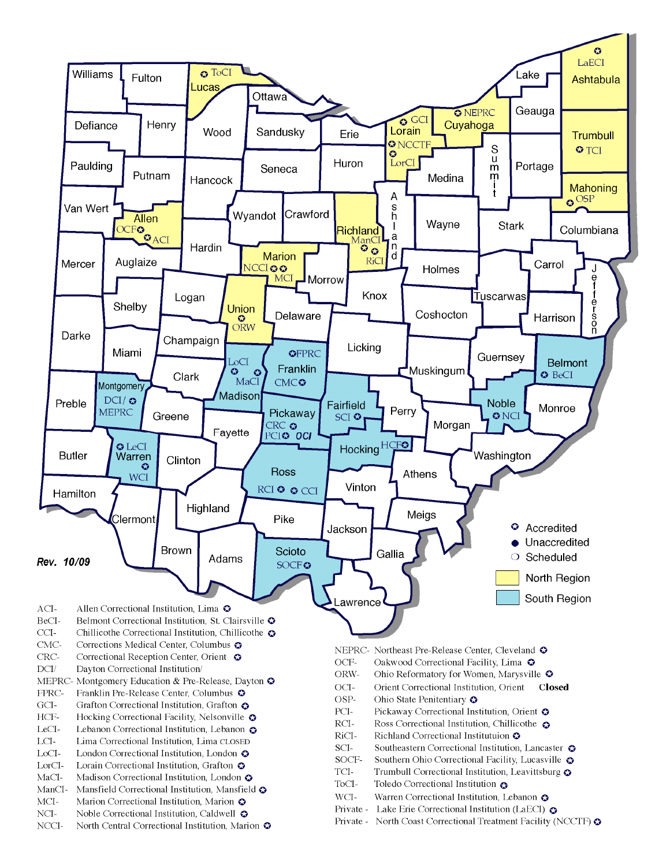